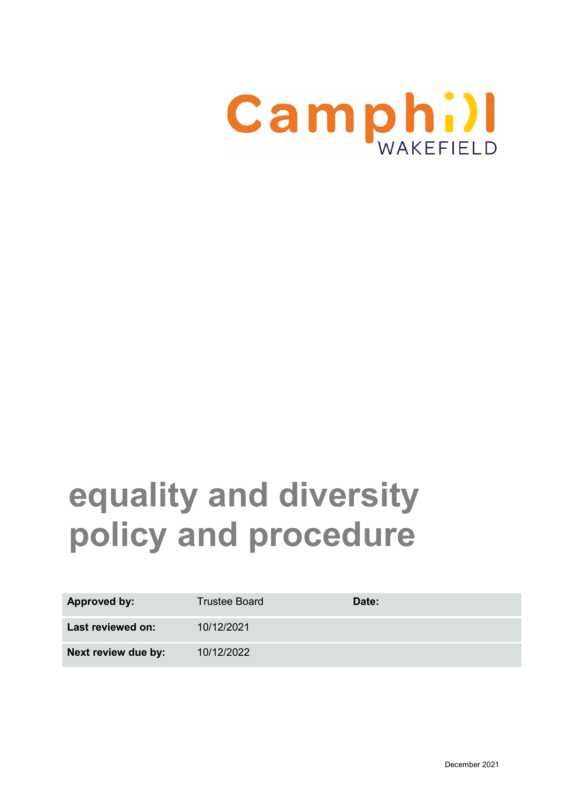

# **equality and diversity policy and procedure**

| <b>Approved by:</b> | <b>Trustee Board</b> | Date: |
|---------------------|----------------------|-------|
| Last reviewed on:   | 10/12/2021           |       |
| Next review due by: | 10/12/2022           |       |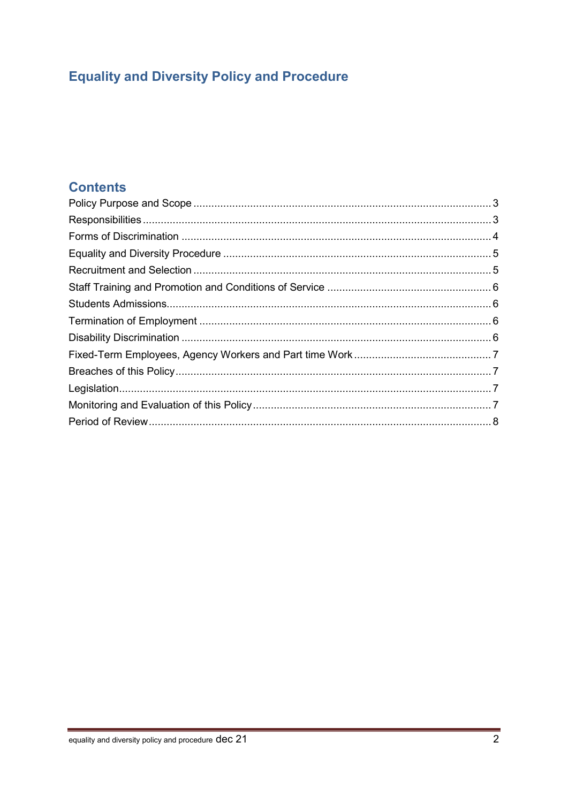## **Equality and Diversity Policy and Procedure**

## **Contents**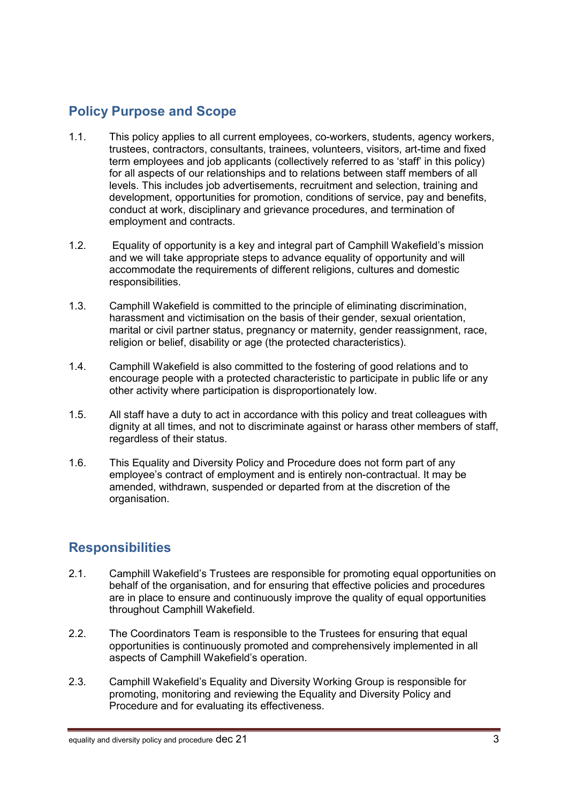## <span id="page-2-0"></span>**Policy Purpose and Scope**

- 1.1. This policy applies to all current employees, co-workers, students, agency workers, trustees, contractors, consultants, trainees, volunteers, visitors, art-time and fixed term employees and job applicants (collectively referred to as 'staff' in this policy) for all aspects of our relationships and to relations between staff members of all levels. This includes job advertisements, recruitment and selection, training and development, opportunities for promotion, conditions of service, pay and benefits, conduct at work, disciplinary and grievance procedures, and termination of employment and contracts.
- 1.2. Equality of opportunity is a key and integral part of Camphill Wakefield's mission and we will take appropriate steps to advance equality of opportunity and will accommodate the requirements of different religions, cultures and domestic responsibilities.
- 1.3. Camphill Wakefield is committed to the principle of eliminating discrimination, harassment and victimisation on the basis of their gender, sexual orientation, marital or civil partner status, pregnancy or maternity, gender reassignment, race, religion or belief, disability or age (the protected characteristics).
- 1.4. Camphill Wakefield is also committed to the fostering of good relations and to encourage people with a protected characteristic to participate in public life or any other activity where participation is disproportionately low.
- 1.5. All staff have a duty to act in accordance with this policy and treat colleagues with dignity at all times, and not to discriminate against or harass other members of staff, regardless of their status.
- 1.6. This Equality and Diversity Policy and Procedure does not form part of any employee's contract of employment and is entirely non-contractual. It may be amended, withdrawn, suspended or departed from at the discretion of the organisation.

## <span id="page-2-1"></span>**Responsibilities**

- 2.1. Camphill Wakefield's Trustees are responsible for promoting equal opportunities on behalf of the organisation, and for ensuring that effective policies and procedures are in place to ensure and continuously improve the quality of equal opportunities throughout Camphill Wakefield.
- 2.2. The Coordinators Team is responsible to the Trustees for ensuring that equal opportunities is continuously promoted and comprehensively implemented in all aspects of Camphill Wakefield's operation.
- 2.3. Camphill Wakefield's Equality and Diversity Working Group is responsible for promoting, monitoring and reviewing the Equality and Diversity Policy and Procedure and for evaluating its effectiveness.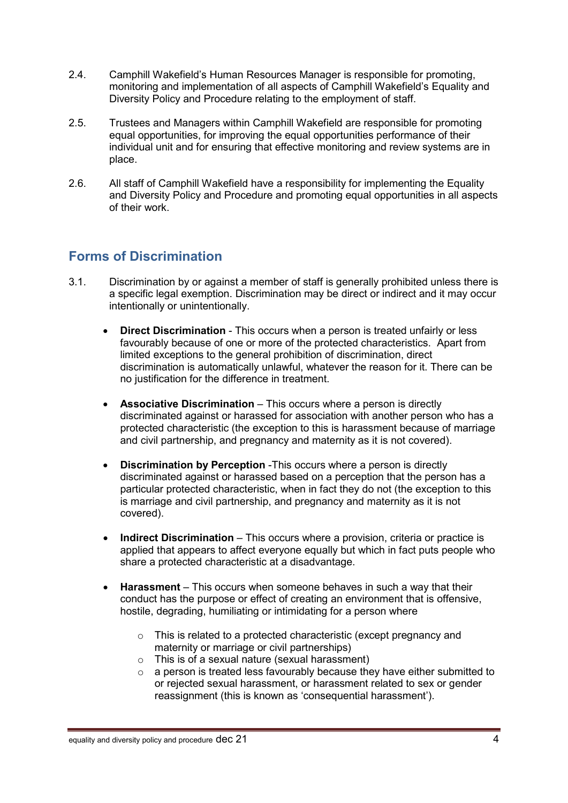- 2.4. Camphill Wakefield's Human Resources Manager is responsible for promoting, monitoring and implementation of all aspects of Camphill Wakefield's Equality and Diversity Policy and Procedure relating to the employment of staff.
- 2.5. Trustees and Managers within Camphill Wakefield are responsible for promoting equal opportunities, for improving the equal opportunities performance of their individual unit and for ensuring that effective monitoring and review systems are in place.
- 2.6. All staff of Camphill Wakefield have a responsibility for implementing the Equality and Diversity Policy and Procedure and promoting equal opportunities in all aspects of their work.

#### <span id="page-3-0"></span>**Forms of Discrimination**

- 3.1. Discrimination by or against a member of staff is generally prohibited unless there is a specific legal exemption. Discrimination may be direct or indirect and it may occur intentionally or unintentionally.
	- **Direct Discrimination** This occurs when a person is treated unfairly or less favourably because of one or more of the protected characteristics. Apart from limited exceptions to the general prohibition of discrimination, direct discrimination is automatically unlawful, whatever the reason for it. There can be no justification for the difference in treatment.
	- **Associative Discrimination** This occurs where a person is directly discriminated against or harassed for association with another person who has a protected characteristic (the exception to this is harassment because of marriage and civil partnership, and pregnancy and maternity as it is not covered).
	- **Discrimination by Perception** -This occurs where a person is directly discriminated against or harassed based on a perception that the person has a particular protected characteristic, when in fact they do not (the exception to this is marriage and civil partnership, and pregnancy and maternity as it is not covered).
	- **Indirect Discrimination** This occurs where a provision, criteria or practice is applied that appears to affect everyone equally but which in fact puts people who share a protected characteristic at a disadvantage.
	- **Harassment**  This occurs when someone behaves in such a way that their conduct has the purpose or effect of creating an environment that is offensive, hostile, degrading, humiliating or intimidating for a person where
		- o This is related to a protected characteristic (except pregnancy and maternity or marriage or civil partnerships)
		- o This is of a sexual nature (sexual harassment)
		- $\circ$  a person is treated less favourably because they have either submitted to or rejected sexual harassment, or harassment related to sex or gender reassignment (this is known as 'consequential harassment').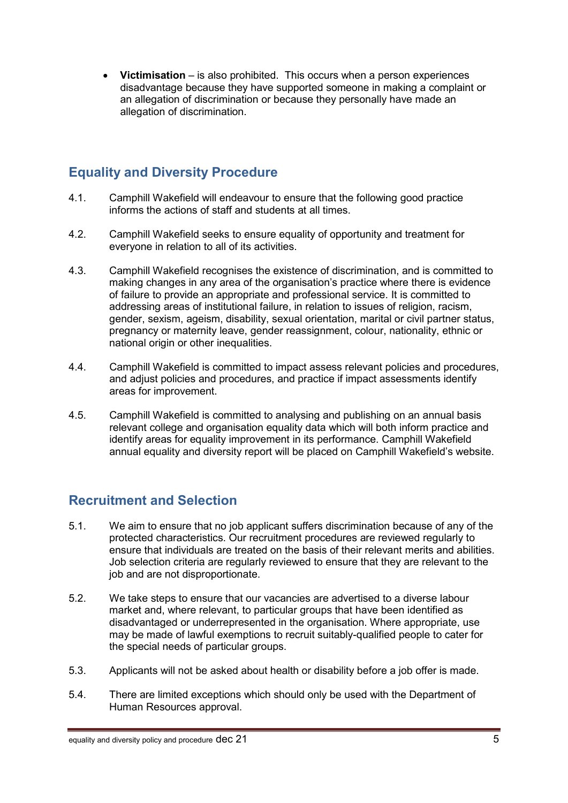• **Victimisation** – is also prohibited. This occurs when a person experiences disadvantage because they have supported someone in making a complaint or an allegation of discrimination or because they personally have made an allegation of discrimination.

### <span id="page-4-0"></span>**Equality and Diversity Procedure**

- 4.1. Camphill Wakefield will endeavour to ensure that the following good practice informs the actions of staff and students at all times.
- 4.2. Camphill Wakefield seeks to ensure equality of opportunity and treatment for everyone in relation to all of its activities.
- 4.3. Camphill Wakefield recognises the existence of discrimination, and is committed to making changes in any area of the organisation's practice where there is evidence of failure to provide an appropriate and professional service. It is committed to addressing areas of institutional failure, in relation to issues of religion, racism, gender, sexism, ageism, disability, sexual orientation, marital or civil partner status, pregnancy or maternity leave, gender reassignment, colour, nationality, ethnic or national origin or other inequalities.
- 4.4. Camphill Wakefield is committed to impact assess relevant policies and procedures, and adjust policies and procedures, and practice if impact assessments identify areas for improvement.
- 4.5. Camphill Wakefield is committed to analysing and publishing on an annual basis relevant college and organisation equality data which will both inform practice and identify areas for equality improvement in its performance. Camphill Wakefield annual equality and diversity report will be placed on Camphill Wakefield's website.

## <span id="page-4-1"></span>**Recruitment and Selection**

- 5.1. We aim to ensure that no job applicant suffers discrimination because of any of the protected characteristics. Our recruitment procedures are reviewed regularly to ensure that individuals are treated on the basis of their relevant merits and abilities. Job selection criteria are regularly reviewed to ensure that they are relevant to the job and are not disproportionate.
- 5.2. We take steps to ensure that our vacancies are advertised to a diverse labour market and, where relevant, to particular groups that have been identified as disadvantaged or underrepresented in the organisation. Where appropriate, use may be made of lawful exemptions to recruit suitably-qualified people to cater for the special needs of particular groups.
- 5.3. Applicants will not be asked about health or disability before a job offer is made.
- 5.4. There are limited exceptions which should only be used with the Department of Human Resources approval.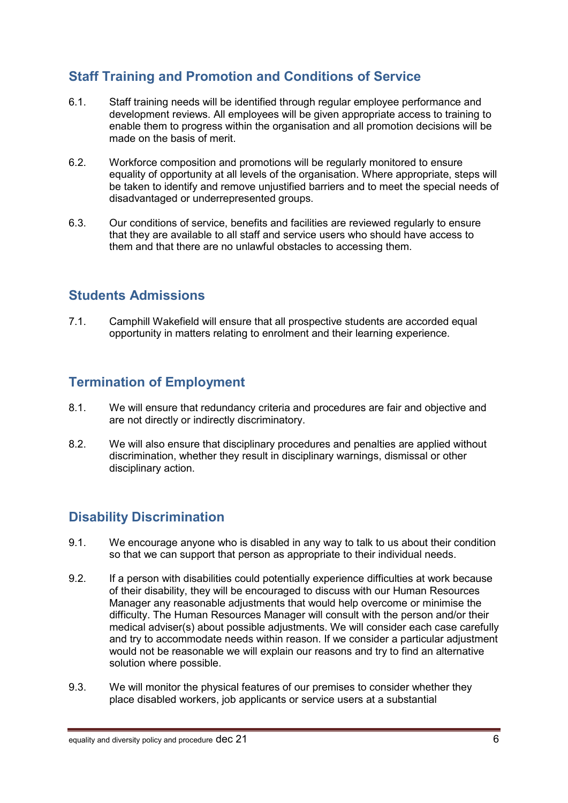## <span id="page-5-0"></span>**Staff Training and Promotion and Conditions of Service**

- 6.1. Staff training needs will be identified through regular employee performance and development reviews. All employees will be given appropriate access to training to enable them to progress within the organisation and all promotion decisions will be made on the basis of merit.
- 6.2. Workforce composition and promotions will be regularly monitored to ensure equality of opportunity at all levels of the organisation. Where appropriate, steps will be taken to identify and remove unjustified barriers and to meet the special needs of disadvantaged or underrepresented groups.
- 6.3. Our conditions of service, benefits and facilities are reviewed regularly to ensure that they are available to all staff and service users who should have access to them and that there are no unlawful obstacles to accessing them.

#### <span id="page-5-1"></span>**Students Admissions**

7.1. Camphill Wakefield will ensure that all prospective students are accorded equal opportunity in matters relating to enrolment and their learning experience.

#### <span id="page-5-2"></span>**Termination of Employment**

- 8.1. We will ensure that redundancy criteria and procedures are fair and objective and are not directly or indirectly discriminatory.
- 8.2. We will also ensure that disciplinary procedures and penalties are applied without discrimination, whether they result in disciplinary warnings, dismissal or other disciplinary action.

## <span id="page-5-3"></span>**Disability Discrimination**

- 9.1. We encourage anyone who is disabled in any way to talk to us about their condition so that we can support that person as appropriate to their individual needs.
- 9.2. If a person with disabilities could potentially experience difficulties at work because of their disability, they will be encouraged to discuss with our Human Resources Manager any reasonable adjustments that would help overcome or minimise the difficulty. The Human Resources Manager will consult with the person and/or their medical adviser(s) about possible adjustments. We will consider each case carefully and try to accommodate needs within reason. If we consider a particular adjustment would not be reasonable we will explain our reasons and try to find an alternative solution where possible.
- 9.3. We will monitor the physical features of our premises to consider whether they place disabled workers, job applicants or service users at a substantial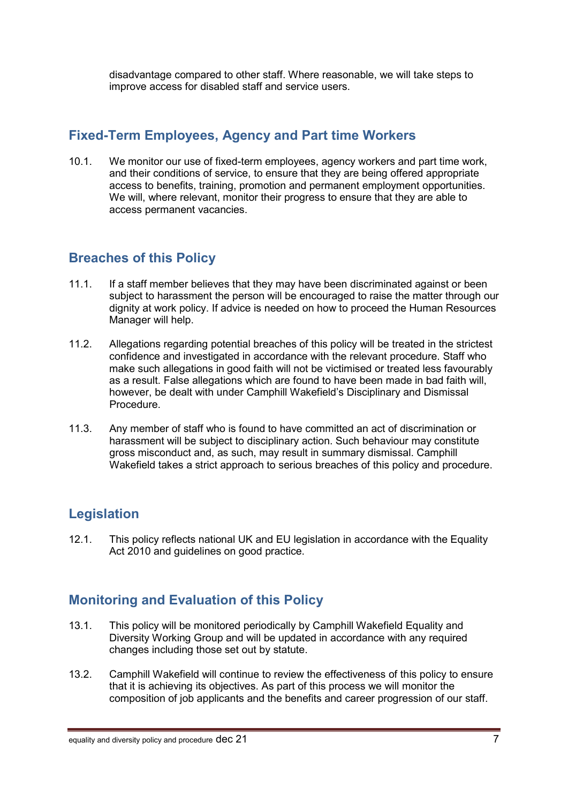disadvantage compared to other staff. Where reasonable, we will take steps to improve access for disabled staff and service users.

#### <span id="page-6-0"></span>**Fixed-Term Employees, Agency and Part time Workers**

10.1. We monitor our use of fixed-term employees, agency workers and part time work, and their conditions of service, to ensure that they are being offered appropriate access to benefits, training, promotion and permanent employment opportunities. We will, where relevant, monitor their progress to ensure that they are able to access permanent vacancies.

#### <span id="page-6-1"></span>**Breaches of this Policy**

- 11.1. If a staff member believes that they may have been discriminated against or been subject to harassment the person will be encouraged to raise the matter through our dignity at work policy. If advice is needed on how to proceed the Human Resources Manager will help.
- 11.2. Allegations regarding potential breaches of this policy will be treated in the strictest confidence and investigated in accordance with the relevant procedure. Staff who make such allegations in good faith will not be victimised or treated less favourably as a result. False allegations which are found to have been made in bad faith will, however, be dealt with under Camphill Wakefield's Disciplinary and Dismissal Procedure.
- 11.3. Any member of staff who is found to have committed an act of discrimination or harassment will be subject to disciplinary action. Such behaviour may constitute gross misconduct and, as such, may result in summary dismissal. Camphill Wakefield takes a strict approach to serious breaches of this policy and procedure.

## <span id="page-6-2"></span>**Legislation**

12.1. This policy reflects national UK and EU legislation in accordance with the Equality Act 2010 and guidelines on good practice.

## <span id="page-6-3"></span>**Monitoring and Evaluation of this Policy**

- 13.1. This policy will be monitored periodically by Camphill Wakefield Equality and Diversity Working Group and will be updated in accordance with any required changes including those set out by statute.
- 13.2. Camphill Wakefield will continue to review the effectiveness of this policy to ensure that it is achieving its objectives. As part of this process we will monitor the composition of job applicants and the benefits and career progression of our staff.